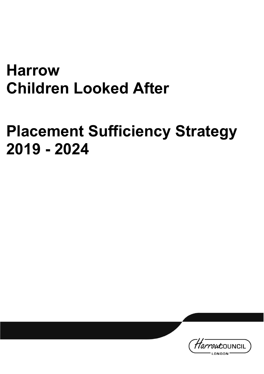# <span id="page-0-1"></span><span id="page-0-0"></span>**Harrow Children Looked After**

# <span id="page-0-2"></span>**Placement Sufficiency Strategy 2019 - 2024**

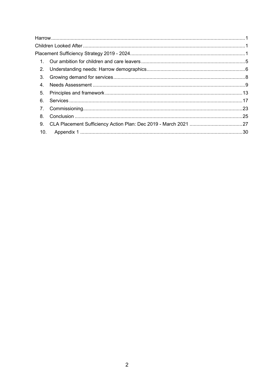| 10. |  |
|-----|--|
|     |  |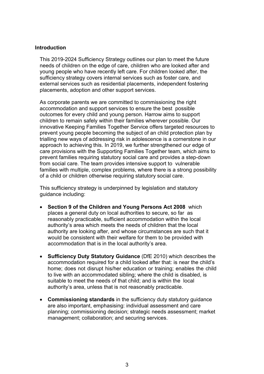#### **Introduction**

This 2019-2024 Sufficiency Strategy outlines our plan to meet the future needs of children on the edge of care, children who are looked after and young people who have recently left care. For children looked after, the sufficiency strategy covers internal services such as foster care, and external services such as residential placements, independent fostering placements, adoption and other support services.

As corporate parents we are committed to commissioning the right accommodation and support services to ensure the best possible outcomes for every child and young person. Harrow aims to support children to remain safely within their families wherever possible. Our innovative Keeping Families Together Service offers targeted resources to prevent young people becoming the subject of an child protection plan by trialling new ways of addressing risk in adolescence is a cornerstone in our approach to achieving this. In 2019, we further strengthened our edge of care provisions with the Supporting Families Together team, which aims to prevent families requiring statutory social care and provides a step-down from social care. The team provides intensive support to vulnerable families with multiple, complex problems, where there is a strong possibility of a child or children otherwise requiring statutory social care.

This sufficiency strategy is underpinned by legislation and statutory guidance including:

- **Section 9 of the Children and Young Persons Act 2008** which places a general duty on local authorities to secure, so far as reasonably practicable, sufficient accommodation within the local authority's area which meets the needs of children that the local authority are looking after, and whose circumstances are such that it would be consistent with their welfare for them to be provided with accommodation that is in the local authority's area.
- **Sufficiency Duty Statutory Guidance** (DfE 2010) which describes the accommodation required for a child looked after that: is near the child's home; does not disrupt his/her education or training; enables the child to live with an accommodated sibling; where the child is disabled, is suitable to meet the needs of that child; and is within the local authority's area, unless that is not reasonably practicable.
- **Commissioning standards** in the sufficiency duty statutory guidance are also important, emphasising: individual assessment and care planning; commissioning decision; strategic needs assessment; market management; collaboration; and securing services.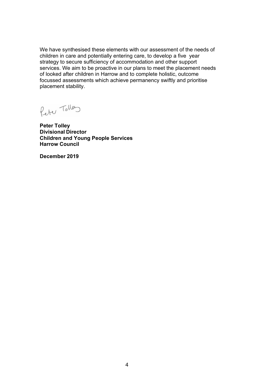We have synthesised these elements with our assessment of the needs of children in care and potentially entering care, to develop a five year strategy to secure sufficiency of accommodation and other support services. We aim to be proactive in our plans to meet the placement needs of looked after children in Harrow and to complete holistic, outcome focussed assessments which achieve permanency swiftly and prioritise placement stability.

Peter Toller

**Peter Tolley Divisional Director Children and Young People Services Harrow Council**

**December 2019**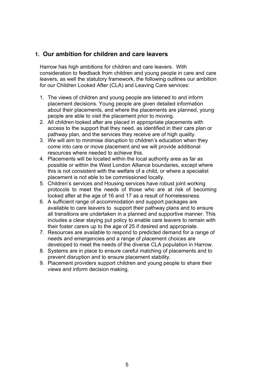# <span id="page-4-0"></span>**1. Our ambition for children and care leavers**

Harrow has high ambitions for children and care leavers. With consideration to feedback from children and young people in care and care leavers, as well the statutory framework, the following outlines our ambition for our Children Looked After (CLA) and Leaving Care services:

- 1. The views of children and young people are listened to and inform placement decisions. Young people are given detailed information about their placements, and where the placements are planned, young people are able to visit the placement prior to moving.
- 2. All children looked after are placed in appropriate placements with access to the support that they need, as identified in their care plan or pathway plan, and the services they receive are of high quality.
- 3. We will aim to minimise disruption to children's education when they come into care or move placement and we will provide additional resources where needed to achieve this.
- 4. Placements will be located within the local authority area as far as possible or within the West London Alliance boundaries, except where this is not consistent with the welfare of a child, or where a specialist placement is not able to be commissioned locally.
- 5. Children's services and Housing services have robust joint working protocols to meet the needs of those who are at risk of becoming looked after at the age of 16 and 17 as a result of homelessness.
- 6. A sufficient range of accommodation and support packages are available to care leavers to support their pathway plans and to ensure all transitions are undertaken in a planned and supportive manner. This includes a clear staying put policy to enable care leavers to remain with their foster carers up to the age of 25 if desired and appropriate.
- 7. Resources are available to respond to predicted demand for a range of needs and emergencies and a range of placement choices are developed to meet the needs of the diverse CLA population in Harrow.
- 8. Systems are in place to ensure careful matching of placements and to prevent disruption and to ensure placement stability.
- 9. Placement providers support children and young people to share their views and inform decision making.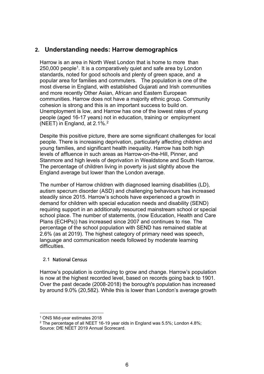# <span id="page-5-0"></span>**2. Understanding needs: Harrow demographics**

Harrow is an area in North West London that is home to more than 250,000 people<sup>1</sup>. It is a comparatively quiet and safe area by London standards, noted for good schools and plenty of green space, and a popular area for families and commuters. The population is one of the most diverse in England, with established Gujarati and Irish communities and more recently Other Asian, African and Eastern European communities. Harrow does not have a majority ethnic group. Community cohesion is strong and this is an important success to build on. Unemployment is low, and Harrow has one of the lowest rates of young people (aged 16-17 years) not in education, training or employment (NEET) in England, at 2.1%.2

Despite this positive picture, there are some significant challenges for local people. There is increasing deprivation, particularly affecting children and young families, and significant health inequality. Harrow has both high levels of affluence in such areas as Harrow-on-the-Hill, Pinner, and Stanmore and high levels of deprivation in Wealdstone and South Harrow. The percentage of children living in poverty is just slightly above the England average but lower than the London average.

The number of Harrow children with diagnosed learning disabilities (LD), autism specrum disorder (ASD) and challenging behaviours has increased steadily since 2015. Harrow's schools have experienced a growth in demand for children with special education needs and disability (SEND) requiring support in an additionally resourced mainstream school or special school place. The number of statements, (now Education, Health and Care Plans (ECHPs)) has increased since 2007 and continues to rise. The percentage of the school population with SEND has remained stable at 2.6% (as at 2019). The highest category of primary need was speech, language and communication needs followed by moderate learning difficulties.

# 2.1 National Census

Harrow's population is continuing to grow and change. Harrow's population is now at the highest recorded level, based on records going back to 1901. Over the past decade (2008-2018) the borough's population has increased by around 9.0% (20,582). While this is lower than London's average growth

<sup>1</sup> ONS Mid-year estimates 2018

<sup>&</sup>lt;sup>2</sup> The percentage of all NEET 16-19 year olds in England was 5.5%; London 4.8%; Source: DfE NEET 2019 Annual Scorecard.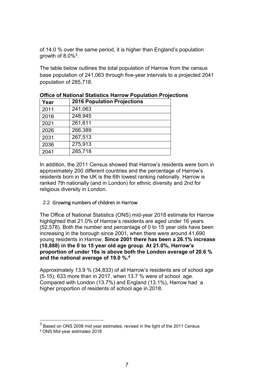of 14.0 % over the same period, it is higher than England's population growth of  $8.0\%$ <sup>3</sup>.

The table below outlines the total population of Harrow from the census base population of 241,063 through five-year intervals to a projected 2041 population of 285,718.

| Year | <b>2016 Population Projections</b> |
|------|------------------------------------|
| 2011 | 241,063                            |
| 2016 | 248,945                            |
| 2021 | 261,611                            |
| 2026 | 266,389                            |
| 2031 | 267,513                            |
| 2036 | 275,913                            |
| 2041 | 285,718                            |

**Office of National Statistics Harrow Population Projections**

In addition, the 2011 Census showed that Harrow's residents were born in approximately 200 different countries and the percentage of Harrow's residents born in the UK is the 6th lowest ranking nationally. Harrow is ranked 7th nationally (and in London) for ethnic diversity and 2nd for religious diversity in London.

#### 2.2 Growing numbers of children in Harrow

The Office of National Statistics (ONS) mid-year 2018 estimate for Harrow highlighted that 21.0% of Harrow's residents are aged under 16 years (52,578). Both the number and percentage of 0 to 15 year olds have been increasing in the borough since 2001, when there were around 41,690 young residents in Harrow. **Since 2001 there has been a 26.1% increase (10,888) in the 0 to 15 year old age group**. **At 21.0%, Harrow's proportion of under 16s is above both the London average of 20.6 % and the national average of 19.0 %.4**

Approximately 13.9 % (34,833) of all Harrow's residents are of school age (5-15), 633 more than in 2017, when 13.7 % were of school age. Compared with London (13.7%) and England (13.1%), Harrow had a higher proportion of residents of school age in 2018.

 $3$  Based on ONS 2008 mid year estimates, revised in the light of the 2011 Census

<sup>4</sup> ONS Mid-year estimates 2018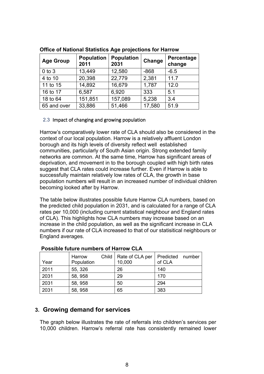| <b>Age Group</b> | <b>Population</b><br>2011 | <b>Population</b><br>2031 | Change | Percentage<br>change |
|------------------|---------------------------|---------------------------|--------|----------------------|
| $0$ to $3$       | 13,449                    | 12,580                    | $-868$ | $-6.5$               |
| 4 to 10          | 20,398                    | 22,779                    | 2,381  | 11.7                 |
| 11 to 15         | 14,892                    | 16,679                    | 1,787  | 12.0                 |
| 16 to 17         | 6,587                     | 6,920                     | 333    | 5.1                  |
| 18 to 64         | 151,851                   | 157,089                   | 5,238  | 3.4                  |
| 65 and over      | 33,886                    | 51,466                    | 17,580 | 51.9                 |

**Office of National Statistics Age projections for Harrow**

# 2.3 Impact of changing and growing population

Harrow's comparatively lower rate of CLA should also be considered in the context of our local population. Harrow is a relatively affluent London borough and its high levels of diversity reflect well established communities, particularly of South Asian origin. Strong extended family networks are common. At the same time, Harrow has significant areas of deprivation, and movement in to the borough coupled with high birth rates suggest that CLA rates could increase further. Even if Harrow is able to successfully maintain relatively low rates of CLA, the growth in base population numbers will result in an increased number of individual children becoming looked after by Harrow.

The table below illustrates possible future Harrow CLA numbers, based on the predicted child population in 2031, and is calculated for a range of CLA rates per 10,000 (including current statistical neighbour and England rates of CLA). This highlights how CLA numbers may increase based on an increase in the child population, as well as the significant increase in CLA numbers if our rate of CLA increased to that of our statisitical neighbours or England averages.

| Year | Harrow<br>Population | Child   Rate of CLA per<br>10,000 | Predicted number<br>of CLA |  |
|------|----------------------|-----------------------------------|----------------------------|--|
| 2011 | 55, 326              | 26                                | 140                        |  |
| 2031 | 58, 958              | 29                                | 170                        |  |
| 2031 | 58, 958              | 50                                | 294                        |  |
| 2031 | 58, 958              | 65                                | 383                        |  |

# **Possible future numbers of Harrow CLA**

# <span id="page-7-0"></span>**3. Growing demand for services**

The graph below illustrates the rate of referrals into children's services per 10,000 children. Harrow's referral rate has consistently remained lower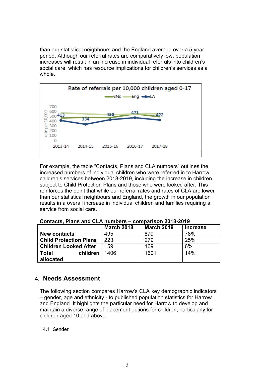than our statistical neighbours and the England average over a 5 year period. Although our referral rates are comparatively low, population increases will result in an increase in individual referrals into children's social care, which has resource implications for children's services as a whole.



For example, the table "Contacts, Plans and CLA numbers" outlines the increased numbers of individual children who were referred in to Harrow children's services between 2018-2019, including the increase in children subject to Child Protection Plans and those who were looked after. This reinforces the point that while our referral rates and rates of CLA are lower than our statistical neighbours and England, the growth in our population results in a overall increase in individual children and families requiring a service from social care.

|                               | <b>March 2018</b> | <b>March 2019</b> | <b>Increase</b> |
|-------------------------------|-------------------|-------------------|-----------------|
| <b>New contacts</b>           | 495               | 879               | 78%             |
| <b>Child Protection Plans</b> | 223               | 279               | 25%             |
| <b>Children Looked After</b>  | 159               | 169               | 6%              |
| <b>Total</b><br>children      | 1406              | 1601              | 14%             |
| allocated                     |                   |                   |                 |

**Contacts, Plans and CLA numbers – comparison 2018-2019**

# <span id="page-8-0"></span>**4. Needs Assessment**

The following section compares Harrow's CLA key demographic indicators – gender, age and ethnicity - to published population statistics for Harrow and England. It highlights the particular need for Harrow to develop and maintain a diverse range of placement options for children, particularly for children aged 10 and above.

# 4.1 Gender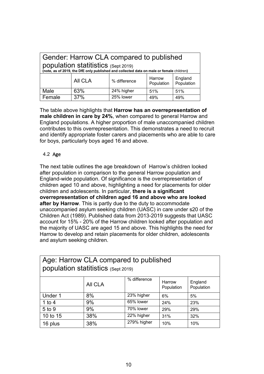| Gender: Harrow CLA compared to published<br>population statitistics (Sept 2019)<br>(note, as of 2019, the DfE only published and collected data on male or female children) |                                 |           |     |     |  |  |  |  |
|-----------------------------------------------------------------------------------------------------------------------------------------------------------------------------|---------------------------------|-----------|-----|-----|--|--|--|--|
| England<br>Harrow<br>All CLA<br>% difference<br>Population<br>Population                                                                                                    |                                 |           |     |     |  |  |  |  |
| Male                                                                                                                                                                        | 24% higher<br>63%<br>51%<br>51% |           |     |     |  |  |  |  |
| Female                                                                                                                                                                      | 37%                             | 25% lower | 49% | 49% |  |  |  |  |

The table above highlights that **Harrow has an overrepresentation of male children in care by 24%**, when compared to general Harrow and England populations. A higher proportion of male unaccompanied children contributes to this overrepresentation. This demonstrates a need to recruit and identify appropriate foster carers and placements who are able to care for boys, particularly boys aged 16 and above.

# 4.2 Age

The next table outlines the age breakdown of Harrow's children looked after population in comparison to the general Harrow population and England-wide population. Of significance is the overrepresentation of children aged 10 and above, highlighting a need for placements for older children and adolescents. In particular, **there is a significant overrepresentation of children aged 16 and above who are looked after by Harrow**. This is partly due to the duty to accommodate unaccompanied asylum seeking children (UASC) in care under s20 of the Children Act (1989). Published data from 2013-2019 suggests that UASC account for 15% - 20% of the Harrow children looked after population and the majority of UASC are aged 15 and above. This highlights the need for Harrow to develop and retain placements for older children, adolescents and asylum seeking children.

| Age: Harrow CLA compared to published<br>population statitistics (Sept 2019) |                               |             |     |     |  |  |  |  |
|------------------------------------------------------------------------------|-------------------------------|-------------|-----|-----|--|--|--|--|
| % difference<br>England<br>Harrow<br>All CLA<br>Population<br>Population     |                               |             |     |     |  |  |  |  |
| Under 1                                                                      | 8%                            | 23% higher  | 6%  | 5%  |  |  |  |  |
| 1 to 4                                                                       | 65% lower<br>9%<br>24%<br>23% |             |     |     |  |  |  |  |
| 5 to 9                                                                       | 70% lower<br>9%<br>29%<br>29% |             |     |     |  |  |  |  |
| 38%<br>22% higher<br>10 to 15<br>31%<br>32%                                  |                               |             |     |     |  |  |  |  |
| 16 plus                                                                      | 38%                           | 279% higher | 10% | 10% |  |  |  |  |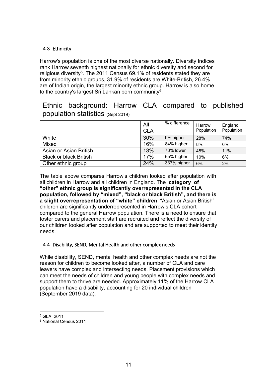# 4.3 Ethnicity

Harrow's population is one of the most diverse nationally. Diversity Indices rank Harrow seventh highest nationally for ethnic diversity and second for religious diversity<sup>5</sup>. The 2011 Census 69.1% of residents stated they are from minority ethnic groups, 31.9% of residents are White-British, 26.4% are of Indian origin, the largest minority ethnic group. Harrow is also home to the country's largest Sri Lankan born community<sup>6</sup>.

| Ethnic background: Harrow CLA compared to published<br>population statistics (Sept 2019) |                   |               |                      |                       |
|------------------------------------------------------------------------------------------|-------------------|---------------|----------------------|-----------------------|
|                                                                                          |                   |               |                      |                       |
|                                                                                          | All<br><b>CLA</b> | % difference  | Harrow<br>Population | England<br>Population |
| White                                                                                    | 30%               | 9% higher     | 28%                  | 74%                   |
| Mixed                                                                                    | 16%               | $84\%$ higher | 8%                   | 6%                    |
| Asian or Asian British                                                                   | 13%               | 73% lower     | 48%                  | 11%                   |
| <b>Black or black British</b>                                                            | 17%               | 65% higher    | 10%                  | 6%                    |
| Other ethnic group                                                                       | 24%               | 337% higher   | 6%                   | 2%                    |

The table above compares Harrow's children looked after population with all children in Harrow and all children in England. The **category of "other" ethnic group is significantly overrepresented in the CLA population, followed by "mixed", "black or black British", and there is a slight overrepresentation of "white" children**. "Asian or Asian British" children are significantly underrepresented in Harrow's CLA cohort compared to the general Harrow population. There is a need to ensure that foster carers and placement staff are recruited and reflect the diversity of our children looked after population and are supported to meet their identity needs.

# 4.4 Disability, SEND, Mental Health and other complex needs

While disability, SEND, mental health and other complex needs are not the reason for children to become looked after, a number of CLA and care leavers have complex and intersecting needs. Placement provisions which can meet the needs of children and young people with complex needs and support them to thrive are needed. Approximately 11% of the Harrow CLA population have a disability, accounting for 20 individual children (September 2019 data).

<sup>5</sup> GLA 2011

<sup>6</sup> National Census 2011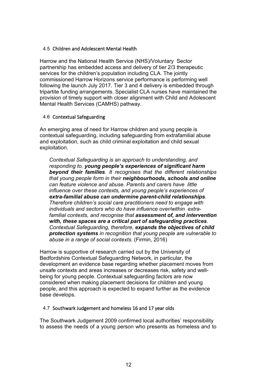#### 4.5 Children and Adolescent Mental Health

Harrow and the National Health Service (NHS)/Voluntary Sector partnership has embedded access and delivery of tier 2/3 therapeutic services for the children's population including CLA. The jointly commissioned Harrow Horizons service performance is performing well following the launch July 2017. Tier 3 and 4 delivery is embedded through tripartite funding arrangements. Specialist CLA nurses have maintained the provision of timely support with closer alignment with Child and Adolescent Mental Health Services (CAMHS) pathway.

#### 4.6 Contextual Safeguarding

An emerging area of need for Harrow children and young people is contextual safeguarding, including safeguarding from extrafamilial abuse and exploitation, such as child criminal exploitation and child sexual exploitation.

*Contextual Safeguarding is an approach to understanding, and responding to, young people's experiences of significant harm beyond their families. It recognises that the different relationships that young people form in their neighbourhoods, schools and online can feature violence and abuse. Parents and carers have little influence over these contexts, and young people's experiences of extra-familial abuse can undermine parent-child relationships. Therefore children's social care practitioners need to engage with individuals and sectors who do have influence over/within extrafamilial contexts, and recognise that assessment of, and intervention with, these spaces are a critical part of safeguarding practices. Contextual Safeguarding, therefore, expands the objectives of child protection systems in recognition that young people are vulnerable to abuse in a range of social contexts*. (Firmin, 2016)

Harrow is supportive of research carried out by the University of Bedfordshire Contextual Safeguarding Network, in particular, the development an evidence base regarding whether placement moves from unsafe contexts and areas increases or decreases risk, safety and wellbeing for young people. Contextual safeguarding factors are now considered when making placement decisions for children and young people, and this approach is expected to expand further as the evidence base develops.

#### 4.7 Southwark Judgement and homeless 16 and 17 year olds

The Southwark Judgement 2009 confirmed local authorities' responsibility to assess the needs of a young person who presents as homeless and to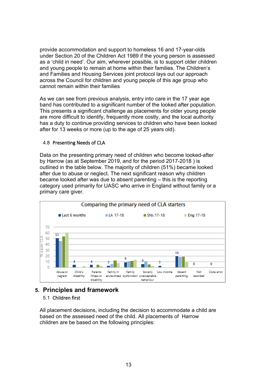provide accommodation and support to homeless 16 and 17-year-olds under Section 20 of the Children Act 1989 if the young person is assessed as a 'child in need'. Our aim, wherever possible, is to support older children and young people to remain at home within their families. The Children's and Families and Housing Services joint protocol lays out our approach across the Council for children and young people of this age group who cannot remain within their families

As we can see from previous analysis, entry into care in the 17 year age band has contributed to a significant number of the looked after population. This presents a significant challenge as placements for older young people are more difficult to identify, frequently more costly, and the local authority has a duty to continue providing services to children who have been looked after for 13 weeks or more (up to the age of 25 years old).

#### 4.8 Presenting Needs of CLA

Data on the presenting primary need of children who become looked-after by Harrow (as at September 2019, and for the period 2017-2018 ) is outlined in the table below. The majority of children (51%) became looked after due to abuse or neglect. The next significant reason why children became looked after was due to absent parenting – this is the reporting category used primarily for UASC who arrive in England without family or a primary care giver.



# <span id="page-12-0"></span>**5. Principles and framework**

# 5.1 Children first

All placement decisions, including the decision to accommodate a child are based on the assessed need of the child. All placements of Harrow children are be based on the following principles: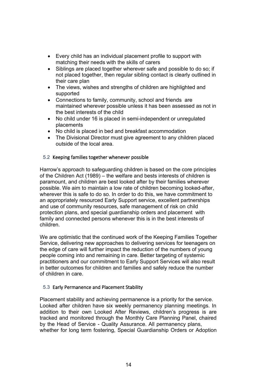- Every child has an individual placement profile to support with matching their needs with the skills of carers
- Siblings are placed together wherever safe and possible to do so; if not placed together, then regular sibling contact is clearly outlined in their care plan
- The views, wishes and strengths of children are highlighted and supported
- Connections to family, community, school and friends are maintained wherever possible unless it has been assessed as not in the best interests of the child
- No child under 16 is placed in semi-independent or unregulated placements
- No child is placed in bed and breakfast accommodation
- The Divisional Director must give agreement to any children placed outside of the local area.

# 5.2 Keeping families together whenever possible

Harrow's approach to safeguarding children is based on the core principles of the Children Act (1989) – the welfare and bests interests of children is paramount, and children are best looked after by their families wherever possible. We aim to maintain a low rate of children becoming looked-after, wherever this is safe to do so. In order to do this, we have commitment to an appropriately resourced Early Support service, excellent partnerships and use of community resources, safe management of risk on child protection plans, and special guardianship orders and placement with family and connected persons whenever this is in the best interests of children.

We are optimistic that the continued work of the Keeping Families Together Service, delivering new approaches to delivering services for teenagers on the edge of care will further impact the reduction of the numbers of young people coming into and remaining in care. Better targeting of systemic practitioners and our commitment to Early Support Services will also result in better outcomes for children and families and safely reduce the number of children in care.

# 5.3 Early Permanence and Placement Stability

Placement stability and achieving permanence is a priority for the service. Looked after children have six weekly permanency planning meetings. In addition to their own Looked After Reviews, children's progress is are tracked and monitored through the Monthly Care Planning Panel, chaired by the Head of Service - Quality Assurance. All permanency plans, whether for long term fostering, Special Guardianship Orders or Adoption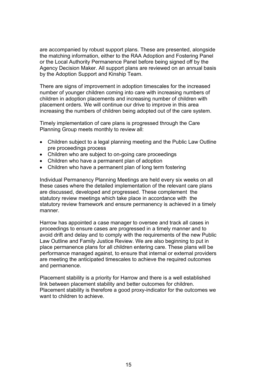are accompanied by robust support plans. These are presented, alongside the matching information, either to the RAA Adoption and Fostering Panel or the Local Authority Permanence Panel before being signed off by the Agency Decision Maker. All support plans are reviewed on an annual basis by the Adoption Support and Kinship Team.

There are signs of improvement in adoption timescales for the increased number of younger children coming into care with increasing numbers of children in adoption placements and increasing number of children with placement orders. We will continue our drive to improve in this area increasing the numbers of children being adopted out of the care system.

Timely implementation of care plans is progressed through the Care Planning Group meets monthly to review all:

- Children subject to a legal planning meeting and the Public Law Outline pre proceedings process
- Children who are subject to on-going care proceedings
- Children who have a permanent plan of adoption
- Children who have a permanent plan of long term fostering

Individual Permanency Planning Meetings are held every six weeks on all these cases where the detailed implementation of the relevant care plans are discussed, developed and progressed. These complement the statutory review meetings which take place in accordance with the statutory review framework and ensure permanency is achieved in a timely manner.

Harrow has appointed a case manager to oversee and track all cases in proceedings to ensure cases are progressed in a timely manner and to avoid drift and delay and to comply with the requirements of the new Public Law Outline and Family Justice Review. We are also beginning to put in place permanence plans for all children entering care. These plans will be performance managed against, to ensure that internal or external providers are meeting the anticipated timescales to achieve the required outcomes and permanence.

Placement stability is a priority for Harrow and there is a well established link between placement stability and better outcomes for children. Placement stability is therefore a good proxy-indicator for the outcomes we want to children to achieve.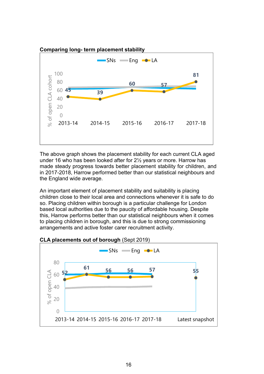

The above graph shows the placement stability for each current CLA aged under 16 who has been looked after for 2½ years or more. Harrow has made steady progress towards better placement stability for children, and in 2017-2018, Harrow performed better than our statistical neighbours and the England wide average.

An important element of placement stability and suitability is placing children close to their local area and connections whenever it is safe to do so. Placing children within borough is a particular challenge for London based local authorities due to the paucity of affordable housing. Despite this, Harrow performs better than our statistical neighbours when it comes to placing children in borough, and this is due to strong commissioning arrangements and active foster carer recruitment activity.



#### **CLA placements out of borough** (Sept 2019)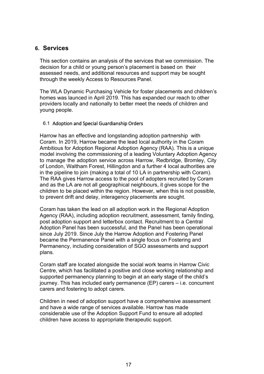# <span id="page-16-0"></span>**6. Services**

This section contains an analysis of the services that we commission. The decision for a child or young person's placement is based on their assessed needs, and additional resources and support may be sought through the weekly Access to Resources Panel.

The WLA Dynamic Purchasing Vehicle for foster placements and children's homes was launced in April 2019. This has expanded our reach to other providers locally and nationally to better meet the needs of children and young people.

#### 6.1 Adoption and Special Guardianship Orders

Harrow has an effective and longstanding adoption partnership with Coram. In 2019, Harrow became the lead local authority in the Coram Ambitious for Adoption Regional Adoption Agency (RAA). This is a unique model involving the commissioning of a leading Voluntary Adoption Agency to manage the adoption service across Harrow, Redbridge, Bromley, City of London, Waltham Forest, Hillingdon and a further 4 local authorities are in the pipeline to join (making a total of 10 LA in partnership with Coram). The RAA gives Harrow access to the pool of adopters recruited by Coram and as the LA are not all geographical neighbours, it gives scope for the children to be placed within the region. However, when this is not possible, to prevent drift and delay, interagency placements are sought.

Coram has taken the lead on all adoption work in the Regional Adoption Agency (RAA), including adoption recruitment, assessment, family finding, post adoption support and letterbox contact. Recruitment to a Central Adoption Panel has been successful, and the Panel has been operational since July 2019. Since July the Harrow Adoption and Fostering Panel became the Permanence Panel with a single focus on Fostering and Permanency, including consideration of SGO assessments and support plans.

Coram staff are located alongside the social work teams in Harrow Civic Centre, which has facilitated a positive and close working relationship and supported permanency planning to begin at an early stage of the child's journey. This has included early permanence (EP) carers – i.e. concurrent carers and fostering to adopt carers.

Children in need of adoption support have a comprehensive assessment and have a wide range of services available. Harrow has made considerable use of the Adoption Support Fund to ensure all adopted children have access to appropriate therapeutic support.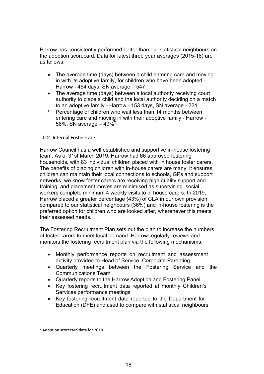Harrow has consistently performed better than our statistical neighbours on the adoption scorecard. Data for latest three year averages (2015-18) are as follows:

- The average time (days) between a child entering care and moving in with its adoptive family, for children who have been adopted - Harrow - 454 days, SN average – 547
- The average time (days) between a local authority receiving court authority to place a child and the local authority deciding on a match to an adoptive family - Harrow - 153 days, SN average - 224
- Percentage of children who wait less than 14 months between entering care and moving in with their adoptive family - Harrow - 58%, SN average  $-49\sqrt[7]{7}$

# 6.2 Internal Foster Care

Harrow Council has a well established and supportive in-house fostering team. As of 31st March 2019, Harrow had 66 approved fostering households, with 83 individual children placed with in house foster carers. The benefits of placing children with in-house carers are many: it ensures children can maintain their local connections to schools, GPs and support networks; we know foster carers are receiving high quality support and training; and placement moves are minimised as supervising social workers complete minimum 4 weekly visits to in house carers. In 2019, Harrow placed a greater percentage (43%) of CLA in our own provision compared to our statistical neighbours (36%) and in-house fostering is the preferred option for children who are looked after, wherenever this meets their assessed needs.

The Fostering Recruitment Plan sets out the plan to increase the numbers of foster carers to meet local demand. Harrow regularly reviews and monitors the fostering recruitment plan via the following mechanisms:

- Monthly performance reports on recruitment and assessment activity provided to Head of Service, Corporate Parenting
- Quarterly meetings between the Fostering Service and the Communications Team
- Quarterly reports to the Harrow Adoption and Fostering Panel
- Key fostering recruitment data reported at monthly Children's Services performance meetings
- Key fostering recruitment data reported to the Department for Education (DFE) and used to compare with statistical neighbours

<sup>7</sup> Adoption scorecard data for 2018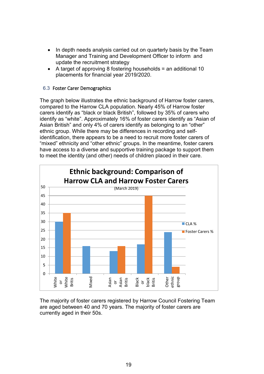- In depth needs analysis carried out on quarterly basis by the Team Manager and Training and Development Officer to inform and update the recruitment strategy
- A target of approving 8 fostering households = an additional 10 placements for financial year 2019/2020.

#### 6.3 Foster Carer Demographics

The graph below illustrates the ethnic background of Harrow foster carers, compared to the Harrow CLA population. Nearly 45% of Harrow foster carers identify as "black or black British", followed by 35% of carers who identify as "white". Approximately 16% of foster carers identify as "Asian of Asian British" and only 4% of carers identify as belonging to an "other" ethnic group. While there may be differences in recording and selfidentification, there appears to be a need to recruit more foster carers of "mixed" ethnicity and "other ethnic" groups. In the meantime, foster carers have access to a diverse and supportive training package to support them to meet the identity (and other) needs of children placed in their care.



The majority of foster carers registered by Harrow Council Fostering Team are aged between 40 and 70 years. The majority of foster carers are currently aged in their 50s.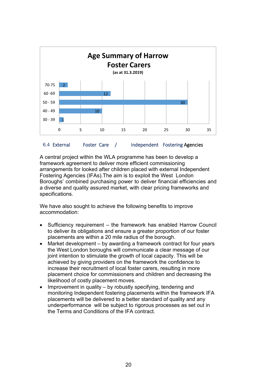

A central project within the WLA programme has been to develop a framework agreement to deliver more efficient commissioning arrangements for looked after children placed with external Independent Fostering Agencies (IFAs).The aim is to exploit the West London Boroughs' combined purchasing power to deliver financial efficiencies and a diverse and quality assured market, with clear pricing frameworks and specifications.

We have also sought to achieve the following benefits to improve accommodation:

- Sufficiency requirement the framework has enabled Harrow Council to deliver its obligations and ensure a greater proportion of our foster placements are within a 20 mile radius of the borough.
- Market development by awarding a framework contract for four years the West London boroughs will communicate a clear message of our joint intention to stimulate the growth of local capacity. This will be achieved by giving providers on the framework the confidence to increase their recruitment of local foster carers, resulting in more placement choice for commissioners and children and decreasing the likelihood of costly placement moves.
- Improvement in quality by robustly specifying, tendering and monitoring Independent fostering placements within the framework IFA placements will be delivered to a better standard of quality and any underperformance will be subject to rigorous processes as set out in the Terms and Conditions of the IFA contract.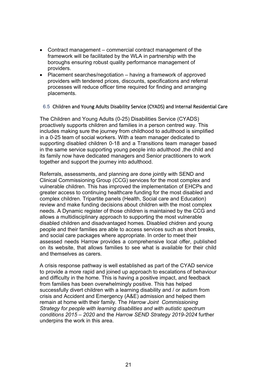- Contract management commercial contract management of the framework will be facilitated by the WLA in partnership with the boroughs ensuring robust quality performance management of providers.
- Placement searches/negotiation having a framework of approved providers with tendered prices, discounts, specifications and referral processes will reduce officer time required for finding and arranging placements.

#### 6.5 Children and Young Adults Disability Service (CYADS) and Internal Residential Care

The Children and Young Adults (0-25) Disabilities Service (CYADS) proactively supports children and families in a person centred way. This includes making sure the journey from childhood to adulthood is simplified in a 0-25 team of social workers. With a team manager dedicated to supporting disabled children 0-18 and a Transitions team manager based in the same service supporting young people into adulthood, the child and its family now have dedicated managers and Senior practitioners to work together and support the journey into adulthood.

Referrals, assessments, and planning are done jointly with SEND and Clinical Commissioning Group (CCG) services for the most complex and vulnerable children. This has improved the implementation of EHCPs and greater access to continuing healthcare funding for the most disabled and complex children. Tripartite panels (Health, Social care and Education) review and make funding decisions about children with the most complex needs. A Dynamic register of those children is maintained by the CCG and allows a multidisciplinary approach to supporting the most vulnerable disabled children and disadvantaged homes. Disabled chidren and young people and their families are able to access services such as short breaks, and social care packages where appropriate. In order to meet their assessed needs Harrow provides a comprehensive local offer, published on its website, that allows families to see what is available for their child and themselves as carers.

A crisis response pathway is well established as part of the CYAD service to provide a more rapid and joined up approach to escalations of behaviour and difficulty in the home. This is having a positive impact, and feedback from families has been overwhelmingly positive. This has helped successfully divert children with a learning disability and / or autism from crisis and Accident and Emergency (A&E) admission and helped them remain at home with their family. The *Harrow Joint Commissioning Strategy for people with learning disabilities and with autistic spectrum conditions 2015 – 2020* and the *Harrow SEND Strategy 2019-2024* further underpins the work in this area.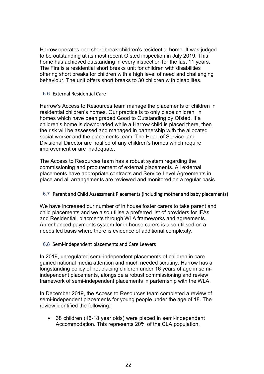Harrow operates one short-break children's residential home. It was judged to be outstanding at its most recent Ofsted inspection in July 2019. This home has achieved outstanding in every inspection for the last 11 years. The Firs is a residential short breaks unit for children with disabilities offering short breaks for children with a high level of need and challenging behaviour. The unit offers short breaks to 30 children with disabilites.

# 6.6 External Residential Care

Harrow's Access to Resources team manage the placements of children in residential children's homes. Our practice is to only place children in homes which have been graded Good to Outstanding by Ofsted. If a children's home is downgraded while a Harrow child is placed there, then the risk will be assessed and managed in partnership with the allocated social worker and the placements team. The Head of Service and Divisional Director are notified of any children's homes which require improvement or are inadequate.

The Access to Resources team has a robust system regarding the commissioning and procurement of external placements. All external placements have appropriate contracts and Service Level Agreements in place and all arrangements are reviewed and monitored on a regular basis.

# 6.7 Parent and Child Assessment Placements (including mother and baby placements)

We have increased our number of in house foster carers to take parent and child placements and we also utilise a preferred list of providers for IFAs and Residential placments through WLA frameworks and agreements. An enhanced payments system for in house carers is also utilised on a needs led basis where there is evidence of additional complexity.

# 6.8 Semi-independent placements and Care Leavers

In 2019, unregulated semi-independent placements of children in care gained national media attention and much needed scrutiny. Harrow has a longstanding policy of not placing children under 16 years of age in semiindependent placements, alongside a robust commissioning and review framework of semi-independent placements in parternship with the WLA.

In December 2019, the Access to Resources team completed a review of semi-independent placements for young people under the age of 18. The review identified the following:

• 38 children (16-18 year olds) were placed in semi-independent Accommodation. This represents 20% of the CLA population.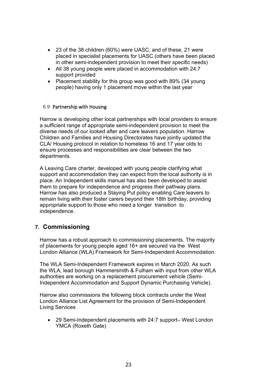- 23 of the 38 children (60%) were UASC, and of these, 21 were placed in specialist placements for UASC (others have been placed in other semi-independent provision to meet their specific needs)
- All 38 young people were placed in accommodation with 24:7 support provided
- Placement stability for this group was good with 89% (34 young people) having only 1 placement move within the last year

#### 6.9 Partnership with Housing

Harrow is developing other local partnerships with local providers to ensure a sufficient range of appropriate semi-independent provision to meet the diverse needs of our looked after and care leavers population. Harrow Children and Families and Housing Directorates have jointly updated the CLA/ Housing protocol in relation to homeless 16 and 17 year olds to ensure processes and responsibilities are clear between the two departments.

A Leaving Care charter, developed with young people clarifying what support and accommodation they can expect from the local authority is in place. An Independent skills manual has also been developed to assist them to prepare for independence and progress their pathway plans. Harrow has also produced a Staying Put policy enabling Care leavers to remain living with their foster carers beyond their 18th birthday, providing appropriate support to those who need a longer transition to independence.

# <span id="page-22-0"></span>**7. Commissioning**

Harrow has a robust approach to commissioning placements. The majority of placements for young people aged 16+ are secured via the West London Alliance (WLA) Framework for Semi-Independent Accommodation.

The WLA Semi-Independent Framework expires in March 2020. As such the WLA, lead borough Hammersmith & Fulham with input from other WLA authorities are working on a replacement procurement vehicle (Semi-Independent Accommodation and Support Dynamic Purchasing Vehicle).

Harrow also commissions the following block contracts under the West London Alliance List Agreement for the provision of Semi-Independent Living Services

• 29 Semi-Independent placements with 24:7 support– West London YMCA (Roxeth Gate)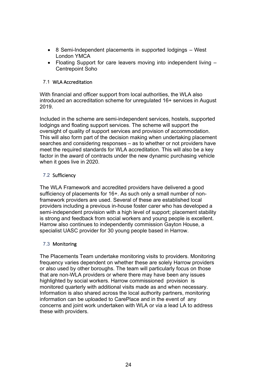- 8 Semi-Independent placements in supported lodgings West London YMCA
- Floating Support for care leavers moving into independent living Centrepoint Soho

# 7.1 WLA Accreditation

With financial and officer support from local authorities, the WLA also introduced an accreditation scheme for unregulated 16+ services in August 2019.

Included in the scheme are semi-independent services, hostels, supported lodgings and floating support services. The scheme will support the oversight of quality of support services and provision of accommodation. This will also form part of the decision making when undertaking placement searches and considering responses – as to whether or not providers have meet the required standards for WLA accreditation. This will also be a key factor in the award of contracts under the new dynamic purchasing vehicle when it goes live in 2020.

# 7.2 Sufficiency

The WLA Framework and accredited providers have delivered a good sufficiency of placements for 16+. As such only a small number of nonframework providers are used. Several of these are established local providers including a previous in-house foster carer who has developed a semi-independent provision with a high level of support; placement stability is strong and feedback from social workers and young people is excellent. Harrow also continues to independently commission Gayton House, a specialist UASC provider for 30 young people based in Harrow.

# 7.3 Monitoring

The Placements Team undertake monitoring visits to providers. Monitoring frequency varies dependent on whether these are solely Harrow providers or also used by other boroughs. The team will particularly focus on those that are non-WLA providers or where there may have been any issues highlighted by social workers. Harrow commissioned provision is monitored quarterly with additional visits made as and when necessary. Information is also shared across the local authority partners, monitoring information can be uploaded to CarePlace and in the event of any concerns and joint work undertaken with WLA or via a lead LA to address these with providers.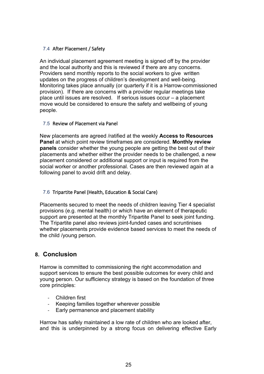# 7.4 After Placement / Safety

An individual placement agreement meeting is signed off by the provider and the local authority and this is reviewed if there are any concerns. Providers send monthly reports to the social workers to give written updates on the progress of children's development and well-being. Monitoring takes place annually (or quarterly if it is a Harrow-commissioned provision). If there are concerns with a provider regular meetings take place until issues are resolved. If serious issues occur – a placement move would be considered to ensure the safety and wellbeing of young people.

# 7.5 Review of Placement via Panel

New placements are agreed /ratified at the weekly **Access to Resources Panel** at which point review timeframes are considered. **Monthly review panels** consider whether the young people are getting the best out of their placements and whether either the provider needs to be challenged, a new placement considered or additional support or input is required from the social worker or another professional. Cases are then reviewed again at a following panel to avoid drift and delay.

# 7.6 Tripartite Panel (Health, Education & Social Care)

Placements secured to meet the needs of children leaving Tier 4 specialist provisions (e.g. mental health) or which have an element of therapeutic support are presented at the monthly Tripartite Panel to seek joint funding. The Tripartite panel also reviews joint-funded cases and scruntinises whether placements provide evidence based services to meet the needs of the child /young person.

# <span id="page-24-0"></span>**8. Conclusion**

Harrow is committed to commissioning the right accommodation and support services to ensure the best possible outcomes for every child and young person. Our sufficiency strategy is based on the foundation of three core principles:

- Children first
- Keeping families together wherever possible
- Early permanence and placement stability

Harrow has safely maintained a low rate of children who are looked after, and this is underpinned by a strong focus on delivering effective Early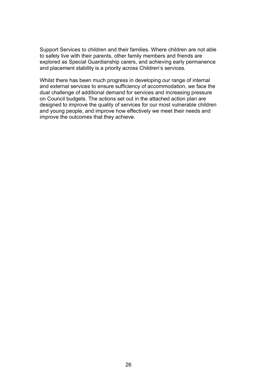Support Services to children and their families. Where children are not able to safely live with their parents, other family members and friends are explored as Special Guardianship carers, and achieving early permanence and placement stability is a priority across Children's services.

Whilst there has been much progress in developing our range of internal and external services to ensure sufficiency of accommodation, we face the dual challenge of additional demand for services and increasing pressure on Council budgets. The actions set out in the attached action plan are designed to improve the quality of services for our most vulnerable children and young people, and improve how effectively we meet their needs and improve the outcomes that they achieve.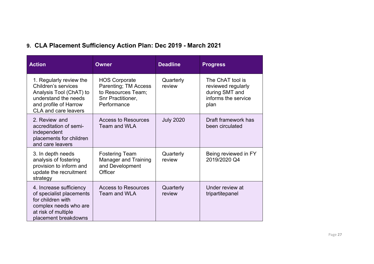# **9. CLA Placement Sufficiency Action Plan: Dec 2019 - March 2021**

<span id="page-26-0"></span>

| <b>Action</b>                                                                                                                                             | <b>Owner</b>                                                                                           | <b>Deadline</b>     | <b>Progress</b>                                                                         |
|-----------------------------------------------------------------------------------------------------------------------------------------------------------|--------------------------------------------------------------------------------------------------------|---------------------|-----------------------------------------------------------------------------------------|
| 1. Regularly review the<br>Children's services<br>Analysis Tool (ChAT) to<br>understand the needs<br>and profile of Harrow<br><b>CLA and care leavers</b> | <b>HOS Corporate</b><br>Parenting; TM Access<br>to Resources Team;<br>Snr Practitioner,<br>Performance | Quarterly<br>review | The ChAT tool is<br>reviewed regularly<br>during SMT and<br>informs the service<br>plan |
| 2. Review and<br>accreditation of semi-<br>independent<br>placements for children<br>and care leavers                                                     | <b>Access to Resources</b><br>Team and WLA                                                             | <b>July 2020</b>    | Draft framework has<br>been circulated                                                  |
| 3. In depth needs<br>analysis of fostering<br>provision to inform and<br>update the recruitment<br>strategy                                               | <b>Fostering Team</b><br><b>Manager and Training</b><br>and Development<br>Officer                     | Quarterly<br>review | Being reviewed in FY<br>2019/2020 Q4                                                    |
| 4. Increase sufficiency<br>of specialist placements<br>for children with<br>complex needs who are<br>at risk of multiple<br>placement breakdowns          | <b>Access to Resources</b><br>Team and WLA                                                             | Quarterly<br>review | Under review at<br>tripartitepanel                                                      |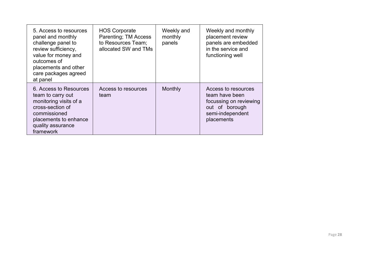| 5. Access to resources<br>panel and monthly<br>challenge panel to<br>review sufficiency,<br>value for money and<br>outcomes of<br>placements and other<br>care packages agreed<br>at panel | <b>HOS Corporate</b><br>Parenting; TM Access<br>to Resources Team;<br>allocated SW and TMs | Weekly and<br>monthly<br>panels | Weekly and monthly<br>placement review<br>panels are embedded<br>in the service and<br>functioning well             |
|--------------------------------------------------------------------------------------------------------------------------------------------------------------------------------------------|--------------------------------------------------------------------------------------------|---------------------------------|---------------------------------------------------------------------------------------------------------------------|
| 6. Access to Resources<br>team to carry out<br>monitoring visits of a<br>cross-section of<br>commissioned<br>placements to enhance<br>quality assurance<br>framework                       | Access to resources<br>team                                                                | Monthly                         | Access to resources<br>team have been<br>focussing on reviewing<br>out of borough<br>semi-independent<br>placements |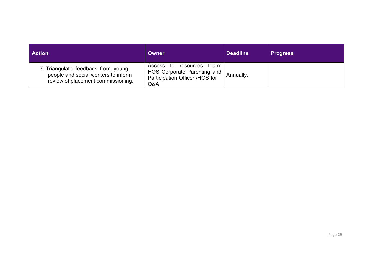| <b>Action</b>                                                                                                   | Owner                                                                                             | <b>Deadline</b> | <b>Progress</b> |
|-----------------------------------------------------------------------------------------------------------------|---------------------------------------------------------------------------------------------------|-----------------|-----------------|
| 7. Triangulate feedback from young<br>people and social workers to inform<br>review of placement commissioning. | Access to resources team;<br>HOS Corporate Parenting and<br>Participation Officer /HOS for<br>Q&A | Annually.       |                 |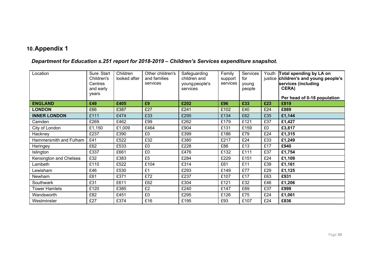# **10.Appendix 1**

# *Department for Education s.251 report for 2018-2019 – Children's Services expenditure snapshot.*

<span id="page-29-0"></span>

| Location               | Sure Start<br>Children's<br>Centres<br>and early<br>years | Children<br>looked after | Other children's<br>and families<br>services | Safeguarding<br>children and<br>young people's<br>services | Family<br>support<br>services | Services<br>for<br>young<br>people |     | Youth Total spending by LA on<br>justice children's and young people's<br>services (including<br>CERA) |
|------------------------|-----------------------------------------------------------|--------------------------|----------------------------------------------|------------------------------------------------------------|-------------------------------|------------------------------------|-----|--------------------------------------------------------------------------------------------------------|
| <b>ENGLAND</b>         | £49                                                       | £405                     | £9                                           | £202                                                       | £96                           | £33                                | £23 | Per head of 0-18 population<br>£819                                                                    |
| <b>LONDON</b>          | £66                                                       | £387                     | £27                                          | £241                                                       | £102                          | £40                                | £24 | £889                                                                                                   |
| <b>INNER LONDON</b>    | £111                                                      | £474                     | £33                                          | £295                                                       | £134                          | £62                                | £35 | £1,144                                                                                                 |
| Camden                 | £269                                                      | £462                     | £99                                          | £262                                                       | £179                          | £121                               | £37 | £1,427                                                                                                 |
| City of London         | £1,150                                                    | £1,009                   | £464                                         | £904                                                       | £131                          | £159                               | £0  | £3,817                                                                                                 |
| Hackney                | £237                                                      | £390                     | £0                                           | £399                                                       | £186                          | £79                                | £24 | £1,315                                                                                                 |
| Hammersmith and Fulham | £41                                                       | £522                     | £32                                          | £380                                                       | £217                          | £24                                | £33 | £1,249                                                                                                 |
| Haringey               | £62                                                       | £533                     | £0                                           | £228                                                       | £88                           | £13                                | £17 | £940                                                                                                   |
| Islington              | £337                                                      | £661                     | £0                                           | £476                                                       | £132                          | £111                               | £37 | £1,754                                                                                                 |
| Kensington and Chelsea | £32                                                       | £383                     | £5                                           | £284                                                       | £229                          | £151                               | £24 | £1,109                                                                                                 |
| Lambeth                | £110                                                      | £522                     | £104                                         | £314                                                       | £61                           | £11                                | £39 | £1,161                                                                                                 |
| Lewisham               | £46                                                       | £530                     | £1                                           | £293                                                       | £149                          | £77                                | £29 | £1,125                                                                                                 |
| Newham                 | £61                                                       | £371                     | £72                                          | £237                                                       | £107                          | £17                                | £63 | £931                                                                                                   |
| Southwark              | £31                                                       | £611                     | £62                                          | £304                                                       | £121                          | £32                                | £46 | £1,206                                                                                                 |
| <b>Tower Hamlets</b>   | £120                                                      | £385                     | £2                                           | £240                                                       | £147                          | £69                                | £37 | £999                                                                                                   |
| Wandsworth             | £82                                                       | £451                     | £0                                           | £295                                                       | £126                          | £75                                | £24 | £1,061                                                                                                 |
| Westminster            | £27                                                       | £374                     | £16                                          | £195                                                       | £93                           | £107                               | £24 | £836                                                                                                   |